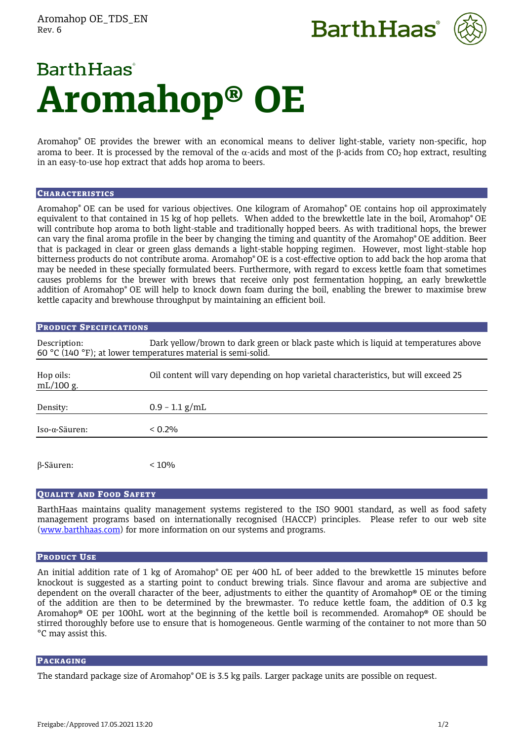Aromahop OE\_TDS\_EN Rev. 6





# **BarthHaas Aromahop® OE**

Aromahop® OE provides the brewer with an economical means to deliver light-stable, variety non-specific, hop aroma to beer. It is processed by the removal of the  $\alpha$ -acids and most of the  $\beta$ -acids from CO<sub>2</sub> hop extract, resulting in an easy-to-use hop extract that adds hop aroma to beers.

## **CHARACTERISTICS**

Aromahop® OE can be used for various objectives. One kilogram of Aromahop® OE contains hop oil approximately equivalent to that contained in 15 kg of hop pellets. When added to the brewkettle late in the boil, Aromahop® OE will contribute hop aroma to both light-stable and traditionally hopped beers. As with traditional hops, the brewer can vary the final aroma profile in the beer by changing the timing and quantity of the Aromahop® OE addition. Beer that is packaged in clear or green glass demands a light-stable hopping regimen. However, most light-stable hop bitterness products do not contribute aroma. Aromahop® OE is a cost-effective option to add back the hop aroma that may be needed in these specially formulated beers. Furthermore, with regard to excess kettle foam that sometimes causes problems for the brewer with brews that receive only post fermentation hopping, an early brewkettle addition of Aromahop® OE will help to knock down foam during the boil, enabling the brewer to maximise brew kettle capacity and brewhouse throughput by maintaining an efficient boil.

| <b>PRODUCT SPECIFICATIONS</b> |                                                                                                                                                       |
|-------------------------------|-------------------------------------------------------------------------------------------------------------------------------------------------------|
| Description:                  | Dark yellow/brown to dark green or black paste which is liquid at temperatures above<br>60 °C (140 °F); at lower temperatures material is semi-solid. |
| Hop oils:<br>mL/100 g.        | Oil content will vary depending on hop varietal characteristics, but will exceed 25                                                                   |
| Density:                      | $0.9 - 1.1$ g/mL                                                                                                                                      |
| Iso-α-Säuren:                 | $< 0.2\%$                                                                                                                                             |
| $\beta$ -Säuren:              | < 10%                                                                                                                                                 |

# QUALITY AND FOOD SAFETY

BarthHaas maintains quality management systems registered to the ISO 9001 standard, as well as food safety management programs based on internationally recognised (HACCP) principles. Please refer to our web site [\(www.barthhaas.com\)](http://www.barthhaas.com/) for more information on our systems and programs.

#### PRODUCT USE

An initial addition rate of 1 kg of Aromahop® OE per 400 hL of beer added to the brewkettle 15 minutes before knockout is suggested as a starting point to conduct brewing trials. Since flavour and aroma are subjective and dependent on the overall character of the beer, adjustments to either the quantity of Aromahop® OE or the timing of the addition are then to be determined by the brewmaster. To reduce kettle foam, the addition of 0.3 kg Aromahop® OE per 100hL wort at the beginning of the kettle boil is recommended. Aromahop® OE should be stirred thoroughly before use to ensure that is homogeneous. Gentle warming of the container to not more than 50 °C may assist this.

#### PACKAGING

The standard package size of Aromahop® OE is 3.5 kg pails. Larger package units are possible on request.